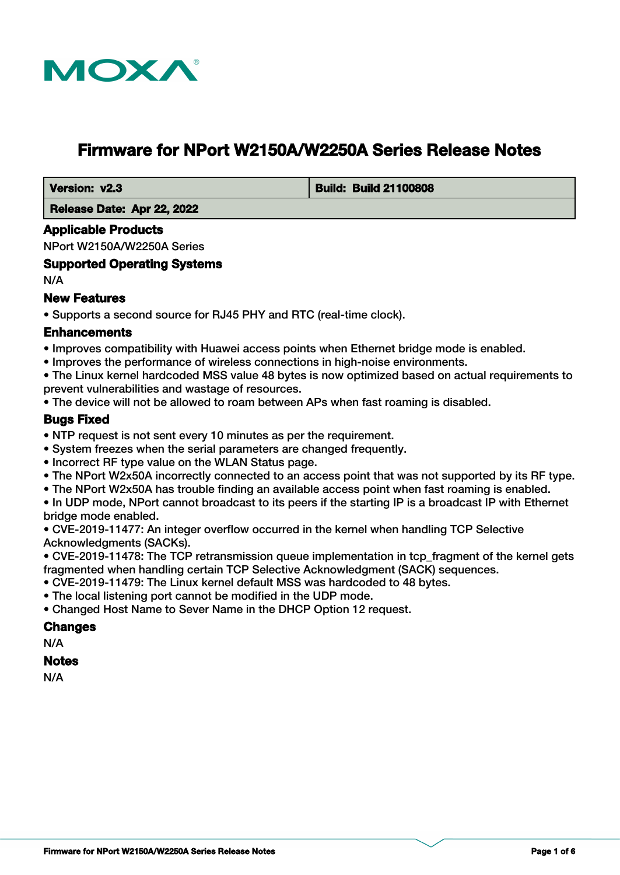

# **Firmware for NPort W2150A/W2250A Series Release Notes**

 **Version: v2.3 Build: Build 21100808**

 **Release Date: Apr 22, 2022**

### **Applicable Products**

NPort W2150A/W2250A Series

# **Supported Operating Systems**

N/A

# **New Features**

• Supports a second source for RJ45 PHY and RTC (real-time clock).

# **Enhancements**

- Improves compatibility with Huawei access points when Ethernet bridge mode is enabled.
- Improves the performance of wireless connections in high-noise environments.

• The Linux kernel hardcoded MSS value 48 bytes is now optimized based on actual requirements to prevent vulnerabilities and wastage of resources.

• The device will not be allowed to roam between APs when fast roaming is disabled.

# **Bugs Fixed**

- NTP request is not sent every 10 minutes as per the requirement.
- System freezes when the serial parameters are changed frequently.
- Incorrect RF type value on the WLAN Status page.
- The NPort W2x50A incorrectly connected to an access point that was not supported by its RF type.
- The NPort W2x50A has trouble finding an available access point when fast roaming is enabled.
- In UDP mode, NPort cannot broadcast to its peers if the starting IP is a broadcast IP with Ethernet bridge mode enabled.

• CVE-2019-11477: An integer overflow occurred in the kernel when handling TCP Selective Acknowledgments (SACKs).

• CVE-2019-11478: The TCP retransmission queue implementation in tcp\_fragment of the kernel gets fragmented when handling certain TCP Selective Acknowledgment (SACK) sequences.

- CVE-2019-11479: The Linux kernel default MSS was hardcoded to 48 bytes.
- The local listening port cannot be modified in the UDP mode.
- Changed Host Name to Sever Name in the DHCP Option 12 request.

### **Changes**

N/A

#### **Notes**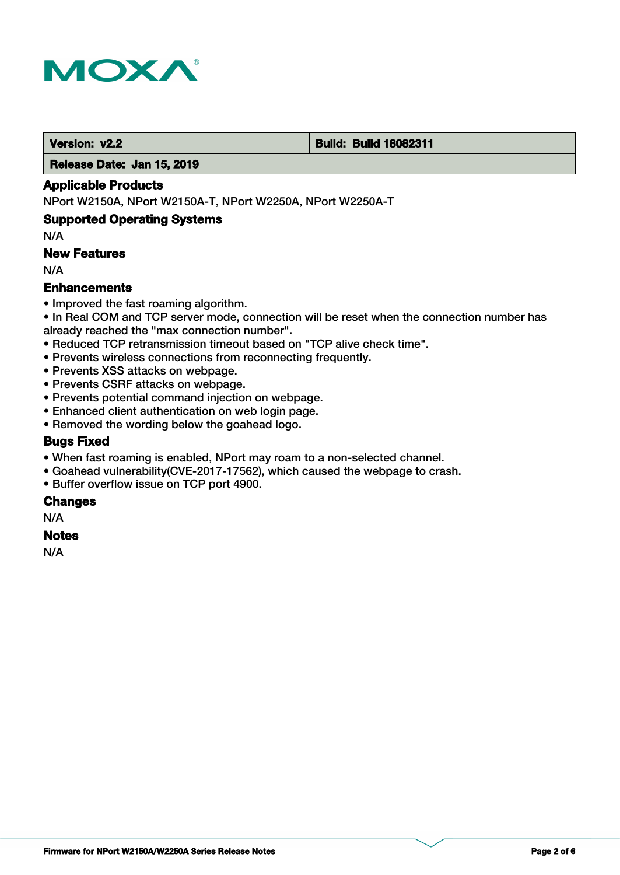

#### **Version: v2.2 Build: Build 18082311**

 **Release Date: Jan 15, 2019**

### **Applicable Products**

NPort W2150A, NPort W2150A-T, NPort W2250A, NPort W2250A-T

### **Supported Operating Systems**

N/A

# **New Features**

N/A

### **Enhancements**

- Improved the fast roaming algorithm.
- In Real COM and TCP server mode, connection will be reset when the connection number has already reached the "max connection number".
- Reduced TCP retransmission timeout based on "TCP alive check time".
- Prevents wireless connections from reconnecting frequently.
- Prevents XSS attacks on webpage.
- Prevents CSRF attacks on webpage.
- Prevents potential command injection on webpage.
- Enhanced client authentication on web login page.
- Removed the wording below the goahead logo.

### **Bugs Fixed**

- When fast roaming is enabled, NPort may roam to a non-selected channel.
- Goahead vulnerability(CVE-2017-17562), which caused the webpage to crash.
- Buffer overflow issue on TCP port 4900.

### **Changes**

N/A

### **Notes**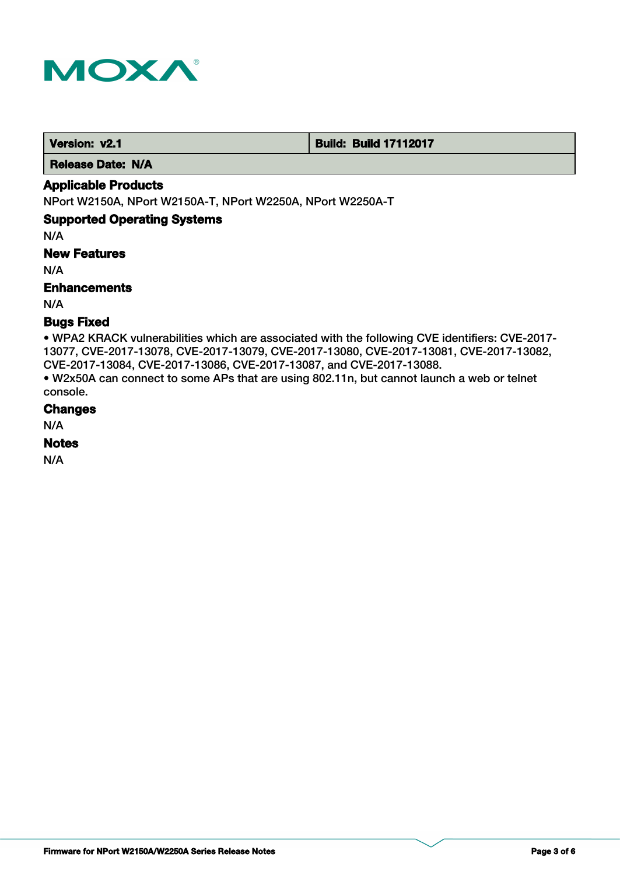

**Version: v2.1 Build: Build: Build 17112017** 

 **Release Date: N/A**

# **Applicable Products**

NPort W2150A, NPort W2150A-T, NPort W2250A, NPort W2250A-T

# **Supported Operating Systems**

N/A

**New Features**

N/A

# **Enhancements**

N/A

# **Bugs Fixed**

• WPA2 KRACK vulnerabilities which are associated with the following CVE identifiers: CVE-2017- 13077, CVE-2017-13078, CVE-2017-13079, CVE-2017-13080, CVE-2017-13081, CVE-2017-13082, CVE-2017-13084, CVE-2017-13086, CVE-2017-13087, and CVE-2017-13088.

• W2x50A can connect to some APs that are using 802.11n, but cannot launch a web or telnet console.

# **Changes**

N/A

# **Notes**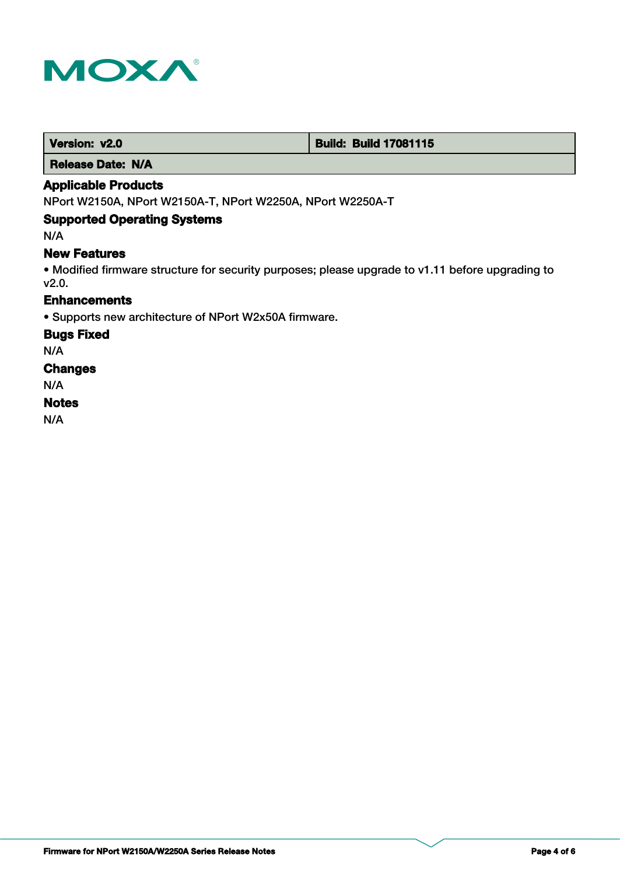

 **Version: v2.0 Build: Build: Build 17081115** 

 **Release Date: N/A**

# **Applicable Products**

NPort W2150A, NPort W2150A-T, NPort W2250A, NPort W2250A-T

# **Supported Operating Systems**

N/A

# **New Features**

• Modified firmware structure for security purposes; please upgrade to v1.11 before upgrading to v2.0.

# **Enhancements**

• Supports new architecture of NPort W2x50A firmware.

#### **Bugs Fixed**

N/A

### **Changes**

N/A

### **Notes**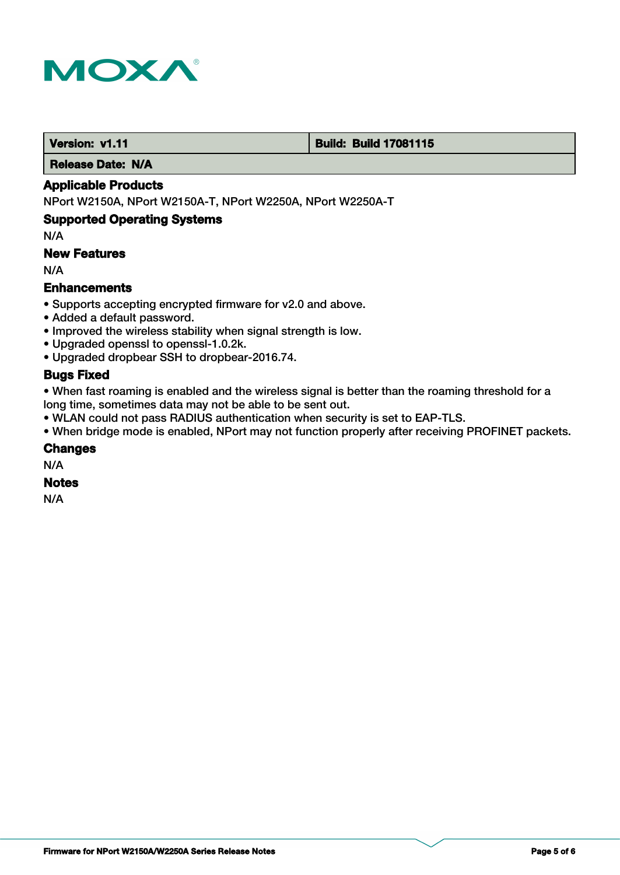

### **Version: v1.11 Version: v1.11 Build: Build: Build 17081115**

 **Release Date: N/A**

# **Applicable Products**

NPort W2150A, NPort W2150A-T, NPort W2250A, NPort W2250A-T

### **Supported Operating Systems**

N/A

# **New Features**

N/A

# **Enhancements**

- Supports accepting encrypted firmware for v2.0 and above.
- Added a default password.
- Improved the wireless stability when signal strength is low.
- Upgraded openssl to openssl-1.0.2k.
- Upgraded dropbear SSH to dropbear-2016.74.

# **Bugs Fixed**

• When fast roaming is enabled and the wireless signal is better than the roaming threshold for a long time, sometimes data may not be able to be sent out.

• WLAN could not pass RADIUS authentication when security is set to EAP-TLS.

• When bridge mode is enabled, NPort may not function properly after receiving PROFINET packets.

### **Changes**

N/A

# **Notes**